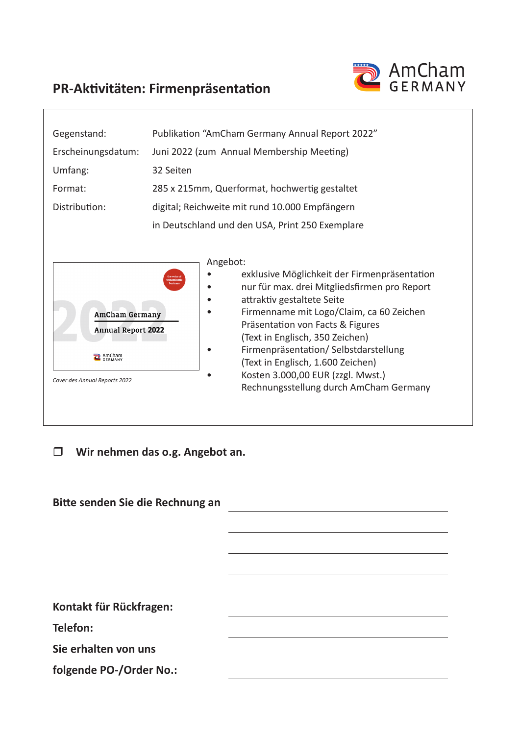

## **PR-Aktivitäten: Firmenpräsentation**

| Gegenstand:                                                                                   | Publikation "AmCham Germany Annual Report 2022"                                                                                                                                                                                                                                                                                                                                                                                                      |  |  |
|-----------------------------------------------------------------------------------------------|------------------------------------------------------------------------------------------------------------------------------------------------------------------------------------------------------------------------------------------------------------------------------------------------------------------------------------------------------------------------------------------------------------------------------------------------------|--|--|
| Erscheinungsdatum:                                                                            | Juni 2022 (zum Annual Membership Meeting)                                                                                                                                                                                                                                                                                                                                                                                                            |  |  |
| Umfang:                                                                                       | 32 Seiten                                                                                                                                                                                                                                                                                                                                                                                                                                            |  |  |
| Format:                                                                                       | 285 x 215mm, Querformat, hochwertig gestaltet                                                                                                                                                                                                                                                                                                                                                                                                        |  |  |
| Distribution:                                                                                 | digital; Reichweite mit rund 10.000 Empfängern                                                                                                                                                                                                                                                                                                                                                                                                       |  |  |
|                                                                                               | in Deutschland und den USA, Print 250 Exemplare                                                                                                                                                                                                                                                                                                                                                                                                      |  |  |
| <b>AmCham Germany</b><br><b>Annual Report 2022</b><br>AmCham<br>Cover des Annual Reports 2022 | Angebot:<br>exklusive Möglichkeit der Firmenpräsentation<br>the voice of<br>ransatlanti<br>nur für max. drei Mitgliedsfirmen pro Report<br>attraktiv gestaltete Seite<br>Firmenname mit Logo/Claim, ca 60 Zeichen<br>Präsentation von Facts & Figures<br>(Text in Englisch, 350 Zeichen)<br>Firmenpräsentation/Selbstdarstellung<br>(Text in Englisch, 1.600 Zeichen)<br>Kosten 3.000,00 EUR (zzgl. Mwst.)<br>Rechnungsstellung durch AmCham Germany |  |  |

**Wir nehmen das o.g. Angebot an.** 

| Bitte senden Sie die Rechnung an |  |
|----------------------------------|--|
|                                  |  |
|                                  |  |
|                                  |  |
|                                  |  |
| Kontakt für Rückfragen:          |  |
| Telefon:                         |  |
| Sie erhalten von uns             |  |
| folgende PO-/Order No.:          |  |